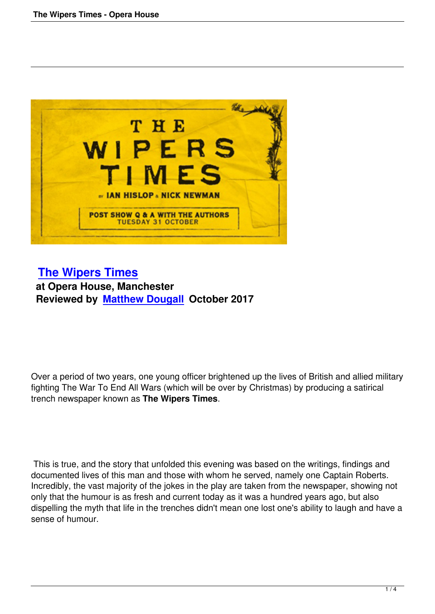

## **The Wipers Times at Opera House, Manchester [Reviewed by Matthew](the-wipers-times-opera-house.html) Dougall October 2017**

Over a period of two years, one young officer brightened up the lives of British and allied military fighting The War To End All Wars (which will be over by Christmas) by producing a satirical trench newspaper known as **The Wipers Times**.

 This is true, and the story that unfolded this evening was based on the writings, findings and documented lives of this man and those with whom he served, namely one Captain Roberts. Incredibly, the vast majority of the jokes in the play are taken from the newspaper, showing not only that the humour is as fresh and current today as it was a hundred years ago, but also dispelling the myth that life in the trenches didn't mean one lost one's ability to laugh and have a sense of humour.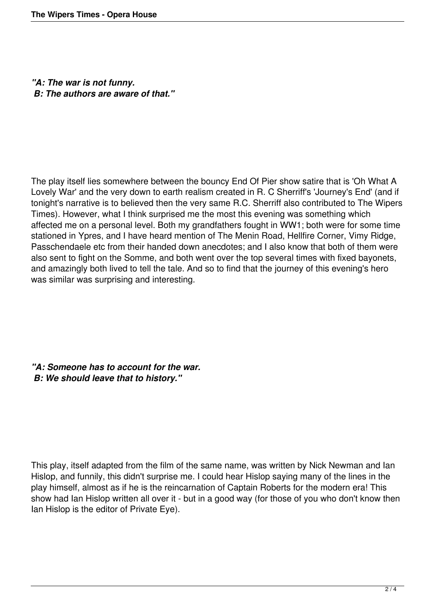*"A: The war is not funny. B: The authors are aware of that."*

The play itself lies somewhere between the bouncy End Of Pier show satire that is 'Oh What A Lovely War' and the very down to earth realism created in R. C Sherriff's 'Journey's End' (and if tonight's narrative is to believed then the very same R.C. Sherriff also contributed to The Wipers Times). However, what I think surprised me the most this evening was something which affected me on a personal level. Both my grandfathers fought in WW1; both were for some time stationed in Ypres, and I have heard mention of The Menin Road, Hellfire Corner, Vimy Ridge, Passchendaele etc from their handed down anecdotes; and I also know that both of them were also sent to fight on the Somme, and both went over the top several times with fixed bayonets, and amazingly both lived to tell the tale. And so to find that the journey of this evening's hero was similar was surprising and interesting.

*"A: Someone has to account for the war. B: We should leave that to history."*

This play, itself adapted from the film of the same name, was written by Nick Newman and Ian Hislop, and funnily, this didn't surprise me. I could hear Hislop saying many of the lines in the play himself, almost as if he is the reincarnation of Captain Roberts for the modern era! This show had Ian Hislop written all over it - but in a good way (for those of you who don't know then Ian Hislop is the editor of Private Eye).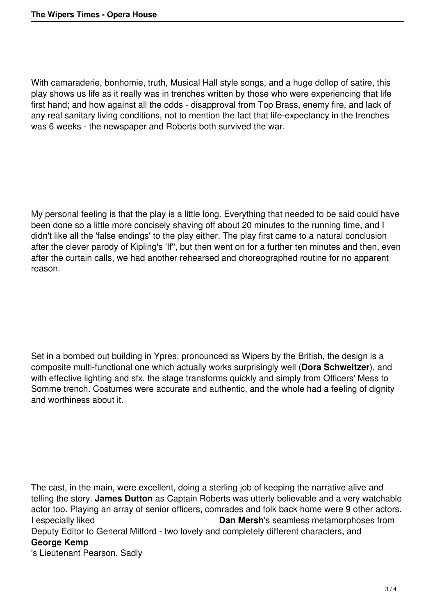With camaraderie, bonhomie, truth, Musical Hall style songs, and a huge dollop of satire, this play shows us life as it really was in trenches written by those who were experiencing that life first hand; and how against all the odds - disapproval from Top Brass, enemy fire, and lack of any real sanitary living conditions, not to mention the fact that life-expectancy in the trenches was 6 weeks - the newspaper and Roberts both survived the war.

My personal feeling is that the play is a little long. Everything that needed to be said could have been done so a little more concisely shaving off about 20 minutes to the running time, and I didn't like all the 'false endings' to the play either. The play first came to a natural conclusion after the clever parody of Kipling's 'If'', but then went on for a further ten minutes and then, even after the curtain calls, we had another rehearsed and choreographed routine for no apparent reason.

Set in a bombed out building in Ypres, pronounced as Wipers by the British, the design is a composite multi-functional one which actually works surprisingly well (**Dora Schweitzer**), and with effective lighting and sfx, the stage transforms quickly and simply from Officers' Mess to Somme trench. Costumes were accurate and authentic, and the whole had a feeling of dignity and worthiness about it.

The cast, in the main, were excellent, doing a sterling job of keeping the narrative alive and telling the story. **James Dutton** as Captain Roberts was utterly believable and a very watchable actor too. Playing an array of senior officers, comrades and folk back home were 9 other actors. I especially liked **Dan Mersh**'s seamless metamorphoses from Deputy Editor to General Mitford - two lovely and completely different characters, and **George Kemp** 's Lieutenant Pearson. Sadly